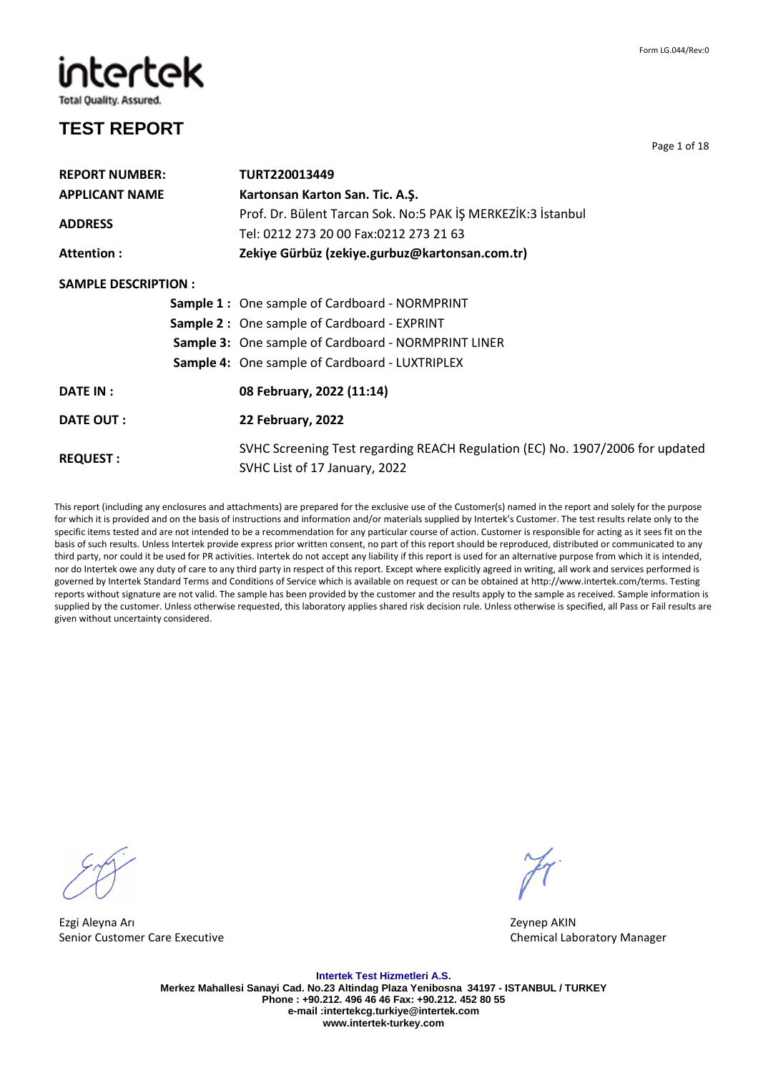intertek

#### **Total Quality. Assured.**

### **TEST REPORT**

**REPORT NUMBER: TURT220013449 APPLICANT NAME Kartonsan Karton San. Tic. A.Ş. ADDRESS**  Prof. Dr. Bülent Tarcan Sok. No:5 PAK İŞ MERKEZİK:3 İstanbul Tel: 0212 273 20 00 Fax:0212 273 21 63 **Attention : Zekiye Gürbüz (zekiye.gurbuz@kartonsan.com.tr) SAMPLE DESCRIPTION : Sample 1 :** One sample of Cardboard - NORMPRINT **Sample 2 :** One sample of Cardboard - EXPRINT **Sample 3:** One sample of Cardboard - NORMPRINT LINER **Sample 4:** One sample of Cardboard - LUXTRIPLEX **DATE IN : 08 February, 2022 (11:14) DATE OUT : 22 February, 2022 REQUEST :**  SVHC Screening Test regarding REACH Regulation (EC) No. 1907/2006 for updated SVHC List of 17 January, 2022

This report (including any enclosures and attachments) are prepared for the exclusive use of the Customer(s) named in the report and solely for the purpose for which it is provided and on the basis of instructions and information and/or materials supplied by Intertek's Customer. The test results relate only to the specific items tested and are not intended to be a recommendation for any particular course of action. Customer is responsible for acting as it sees fit on the basis of such results. Unless Intertek provide express prior written consent, no part of this report should be reproduced, distributed or communicated to any third party, nor could it be used for PR activities. Intertek do not accept any liability if this report is used for an alternative purpose from which it is intended, nor do Intertek owe any duty of care to any third party in respect of this report. Except where explicitly agreed in writing, all work and services performed is governed by Intertek Standard Terms and Conditions of Service which is available on request or can be obtained at http://www.intertek.com/terms. Testing reports without signature are not valid. The sample has been provided by the customer and the results apply to the sample as received. Sample information is supplied by the customer. Unless otherwise requested, this laboratory applies shared risk decision rule. Unless otherwise is specified, all Pass or Fail results are given without uncertainty considered.

Ezgi Aleyna Arı Zeynep AKIN Senior Customer Care Executive Chemical Laboratory Manager

**Intertek Test Hizmetleri A.S. Merkez Mahallesi Sanayi Cad. No.23 Altindag Plaza Yenibosna 34197 - ISTANBUL / TURKEY Phone : +90.212. 496 46 46 Fax: +90.212. 452 80 55 e-mail :intertekcg.turkiye@intertek.com www.intertek-turkey.com** 

Page 1 of 18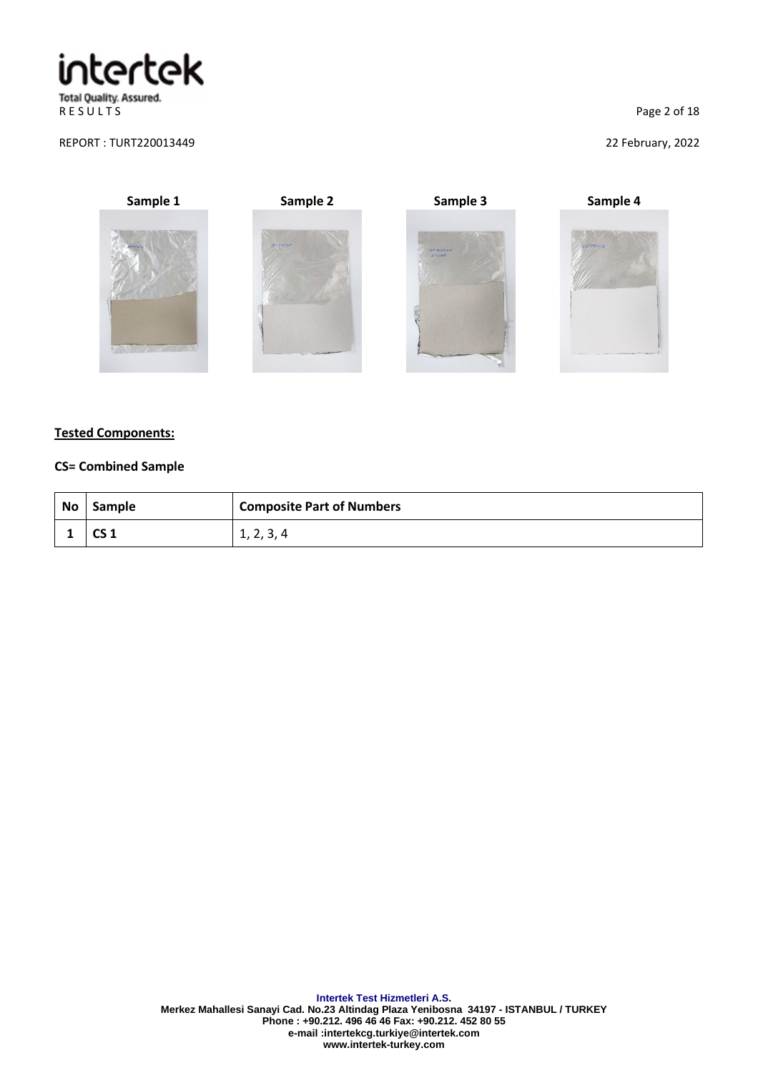R E S U L T S
Page 2 of 18

#### REPORT : TURT220013449 22 February, 2022









#### **Tested Components:**

#### **CS= Combined Sample**

| No | Sample | <b>Composite Part of Numbers</b> |
|----|--------|----------------------------------|
|    | ັບ 1   | 1, 2, 3, 4                       |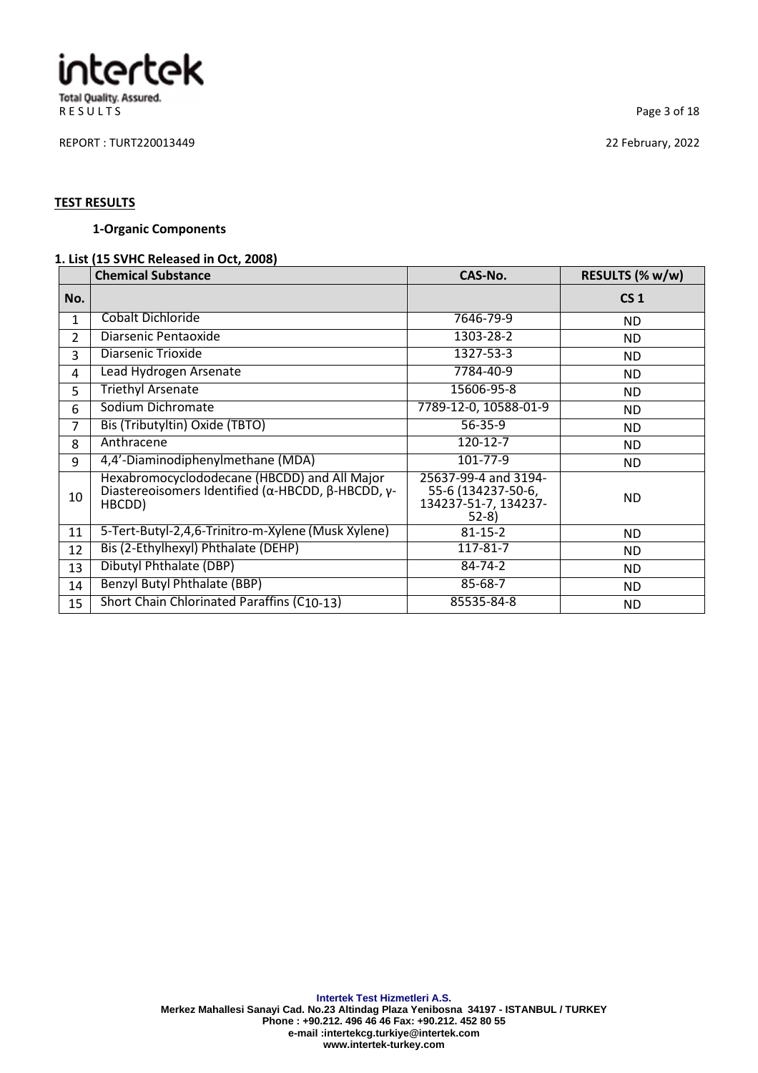R E S U L T S Page 3 of 18

REPORT : TURT220013449 22 February, 2022

#### **TEST RESULTS**

#### **1-Organic Components**

### **1. List (15 SVHC Released in Oct, 2008)**

|               | <b>Chemical Substance</b>                                                                                                           | CAS-No.                                                                      | RESULTS (% w/w) |
|---------------|-------------------------------------------------------------------------------------------------------------------------------------|------------------------------------------------------------------------------|-----------------|
| No.           |                                                                                                                                     |                                                                              | CS <sub>1</sub> |
| 1             | Cobalt Dichloride                                                                                                                   | 7646-79-9                                                                    | ND.             |
| $\mathcal{P}$ | Diarsenic Pentaoxide                                                                                                                | 1303-28-2                                                                    | ND.             |
| 3             | Diarsenic Trioxide                                                                                                                  | 1327-53-3                                                                    | ND.             |
| 4             | Lead Hydrogen Arsenate                                                                                                              | 7784-40-9                                                                    | ND.             |
| 5             | <b>Triethyl Arsenate</b>                                                                                                            | 15606-95-8                                                                   | ND.             |
| 6             | Sodium Dichromate                                                                                                                   | 7789-12-0, 10588-01-9                                                        | ND.             |
| 7             | Bis (Tributyltin) Oxide (TBTO)                                                                                                      | $56 - 35 - 9$                                                                | ND.             |
| 8             | Anthracene                                                                                                                          | $120 - 12 - 7$                                                               | ND.             |
| 9             | 4,4'-Diaminodiphenylmethane (MDA)                                                                                                   | 101-77-9                                                                     | <b>ND</b>       |
| 10            | Hexabromocyclododecane (HBCDD) and All Major<br>Diastereoisomers Identified ( $\alpha$ -HBCDD, $\beta$ -HBCDD, $\gamma$ -<br>HBCDD) | 25637-99-4 and 3194-<br>55-6 (134237-50-6,<br>134237-51-7, 134237-<br>$52-8$ | <b>ND</b>       |
| 11            | 5-Tert-Butyl-2,4,6-Trinitro-m-Xylene (Musk Xylene)                                                                                  | $81 - 15 - 2$                                                                | ND.             |
| 12            | Bis (2-Ethylhexyl) Phthalate (DEHP)                                                                                                 | 117-81-7                                                                     | ND.             |
| 13            | Dibutyl Phthalate (DBP)                                                                                                             | 84-74-2                                                                      | ND.             |
| 14            | Benzyl Butyl Phthalate (BBP)                                                                                                        | 85-68-7                                                                      | ND.             |
| 15            | Short Chain Chlorinated Paraffins (C10-13)                                                                                          | 85535-84-8                                                                   | ND.             |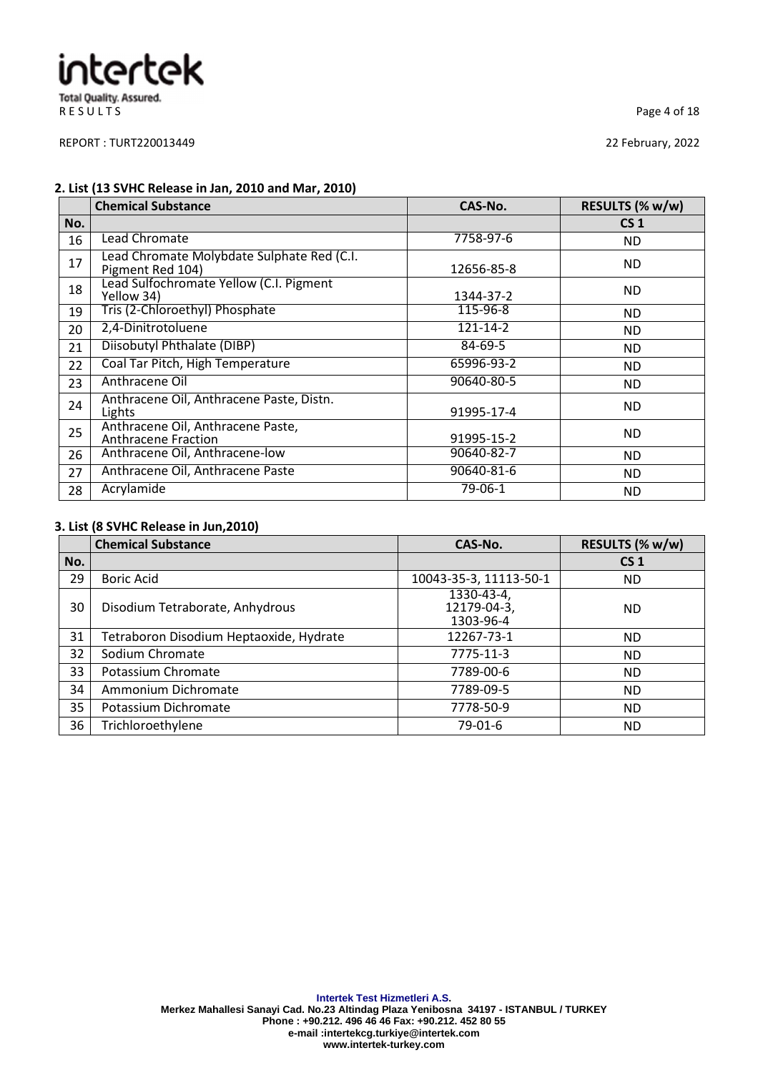R E S U L T S
Page 4 of 18

REPORT : TURT220013449 22 February, 2022

#### **2. List (13 SVHC Release in Jan, 2010 and Mar, 2010)**

|     | <b>Chemical Substance</b>                                       | CAS-No.       | RESULTS (% w/w) |
|-----|-----------------------------------------------------------------|---------------|-----------------|
| No. |                                                                 |               | CS <sub>1</sub> |
| 16  | Lead Chromate                                                   | 7758-97-6     | <b>ND</b>       |
| 17  | Lead Chromate Molybdate Sulphate Red (C.I.<br>Pigment Red 104)  | 12656-85-8    | <b>ND</b>       |
| 18  | Lead Sulfochromate Yellow (C.I. Pigment<br>Yellow 34)           | 1344-37-2     | <b>ND</b>       |
| 19  | Tris (2-Chloroethyl) Phosphate                                  | 115-96-8      | ND.             |
| 20  | 2,4-Dinitrotoluene                                              | 121-14-2      | <b>ND</b>       |
| 21  | Diisobutyl Phthalate (DIBP)                                     | 84-69-5       | ND.             |
| 22  | Coal Tar Pitch, High Temperature                                | 65996-93-2    | ND.             |
| 23  | Anthracene Oil                                                  | 90640-80-5    | <b>ND</b>       |
| 24  | Anthracene Oil, Anthracene Paste, Distn.<br>Lights              | 91995-17-4    | <b>ND</b>       |
| 25  | Anthracene Oil, Anthracene Paste,<br><b>Anthracene Fraction</b> | 91995-15-2    | <b>ND</b>       |
| 26  | Anthracene Oil, Anthracene-low                                  | 90640-82-7    | ND.             |
| 27  | Anthracene Oil, Anthracene Paste                                | 90640-81-6    | ND.             |
| 28  | Acrylamide                                                      | $79 - 06 - 1$ | <b>ND</b>       |

#### **3. List (8 SVHC Release in Jun,2010)**

|     | <b>Chemical Substance</b>               | CAS-No.                                | RESULTS (% w/w) |
|-----|-----------------------------------------|----------------------------------------|-----------------|
| No. |                                         |                                        | CS <sub>1</sub> |
| 29  | <b>Boric Acid</b>                       | 10043-35-3, 11113-50-1                 | <b>ND</b>       |
| 30  | Disodium Tetraborate, Anhydrous         | 1330-43-4,<br>12179-04-3,<br>1303-96-4 | <b>ND</b>       |
| 31  | Tetraboron Disodium Heptaoxide, Hydrate | 12267-73-1                             | <b>ND</b>       |
| 32  | Sodium Chromate                         | 7775-11-3                              | <b>ND</b>       |
| 33  | Potassium Chromate                      | 7789-00-6                              | <b>ND</b>       |
| 34  | Ammonium Dichromate                     | 7789-09-5                              | <b>ND</b>       |
| 35  | Potassium Dichromate                    | 7778-50-9                              | <b>ND</b>       |
| 36  | Trichloroethylene                       | 79-01-6                                | <b>ND</b>       |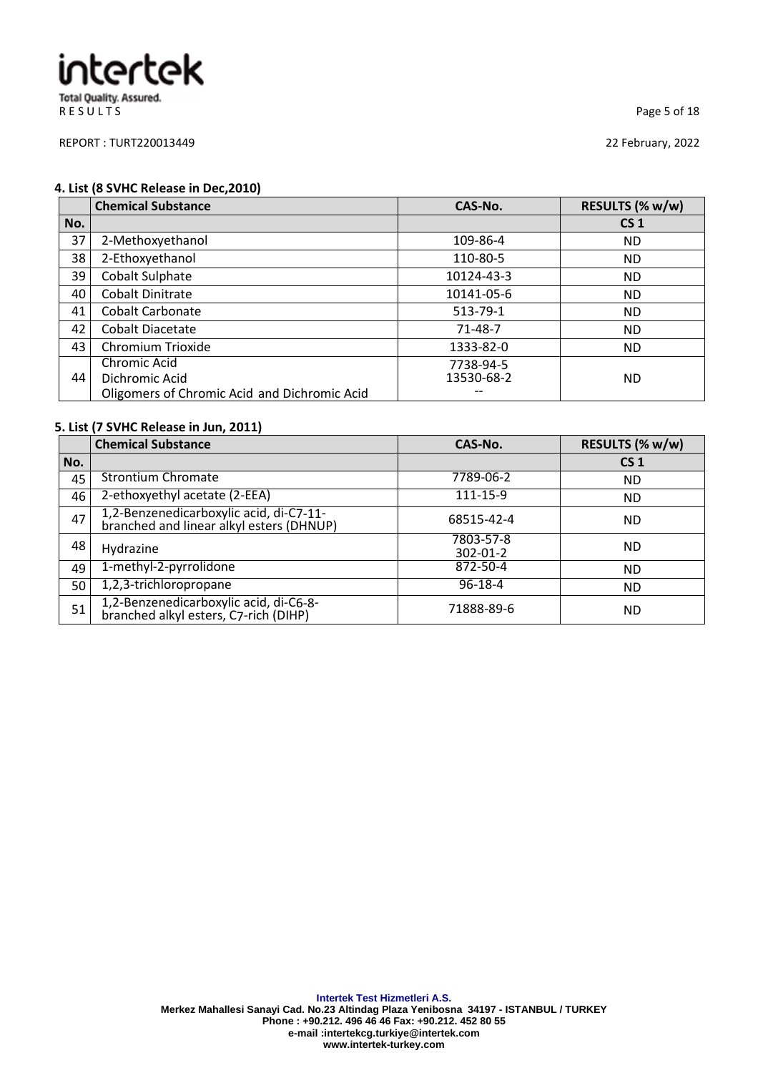R E S U L T S
Page 5 of 18

REPORT : TURT220013449 22 February, 2022

#### **4. List (8 SVHC Release in Dec,2010)**

|     | <b>Chemical Substance</b>                    | CAS-No.    | RESULTS (% w/w) |
|-----|----------------------------------------------|------------|-----------------|
| No. |                                              |            | CS <sub>1</sub> |
| 37  | 2-Methoxyethanol                             | 109-86-4   | <b>ND</b>       |
| 38  | 2-Ethoxyethanol                              | 110-80-5   | ND.             |
| 39  | Cobalt Sulphate                              | 10124-43-3 | ND.             |
| 40  | <b>Cobalt Dinitrate</b>                      | 10141-05-6 | ND.             |
| 41  | <b>Cobalt Carbonate</b>                      | 513-79-1   | ND.             |
| 42  | Cobalt Diacetate                             | 71-48-7    | <b>ND</b>       |
| 43  | Chromium Trioxide                            | 1333-82-0  | ND.             |
|     | Chromic Acid                                 | 7738-94-5  |                 |
| 44  | Dichromic Acid                               | 13530-68-2 | <b>ND</b>       |
|     | Oligomers of Chromic Acid and Dichromic Acid |            |                 |

### **5. List (7 SVHC Release in Jun, 2011)**

|     | <b>Chemical Substance</b>                                                           | CAS-No.                     | RESULTS (% w/w) |
|-----|-------------------------------------------------------------------------------------|-----------------------------|-----------------|
| No. |                                                                                     |                             | CS <sub>1</sub> |
| 45  | <b>Strontium Chromate</b>                                                           | 7789-06-2                   | <b>ND</b>       |
| 46  | 2-ethoxyethyl acetate (2-EEA)                                                       | 111-15-9                    | <b>ND</b>       |
| 47  | 1,2-Benzenedicarboxylic acid, di-C7-11-<br>branched and linear alkyl esters (DHNUP) | 68515-42-4                  | <b>ND</b>       |
| 48  | Hydrazine                                                                           | 7803-57-8<br>$302 - 01 - 2$ | <b>ND</b>       |
| 49  | 1-methyl-2-pyrrolidone                                                              | 872-50-4                    | <b>ND</b>       |
| 50  | 1,2,3-trichloropropane                                                              | $96 - 18 - 4$               | <b>ND</b>       |
| 51  | 1,2-Benzenedicarboxylic acid, di-C6-8-<br>branched alkyl esters, C7-rich (DIHP)     | 71888-89-6                  | <b>ND</b>       |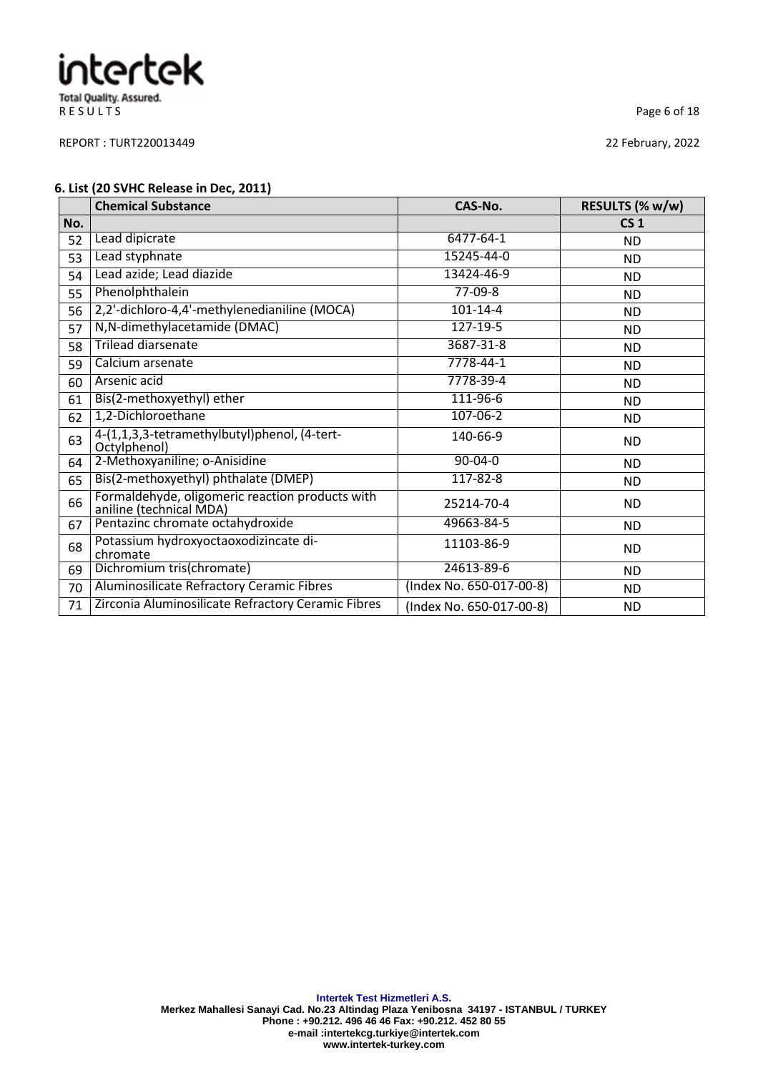R E S U L T S
Page 6 of 18

REPORT : TURT220013449 22 February, 2022

#### **6. List (20 SVHC Release in Dec, 2011)**

|     | <b>Chemical Substance</b>                                                  | CAS-No.                  | RESULTS (% w/w) |
|-----|----------------------------------------------------------------------------|--------------------------|-----------------|
| No. |                                                                            |                          | CS <sub>1</sub> |
| 52  | Lead dipicrate                                                             | $6477 - 64 - 1$          | <b>ND</b>       |
| 53  | Lead styphnate                                                             | 15245-44-0               | <b>ND</b>       |
| 54  | Lead azide; Lead diazide                                                   | 13424-46-9               | ND.             |
| 55  | Phenolphthalein                                                            | $77-09-8$                | <b>ND</b>       |
| 56  | 2,2'-dichloro-4,4'-methylenedianiline (MOCA)                               | $101 - 14 - 4$           | ND.             |
| 57  | N, N-dimethylacetamide (DMAC)                                              | $127 - 19 - 5$           | <b>ND</b>       |
| 58  | <b>Trilead diarsenate</b>                                                  | 3687-31-8                | ND.             |
| 59  | Calcium arsenate                                                           | $7778 - 44 - 1$          | ND.             |
| 60  | Arsenic acid                                                               | 7778-39-4                | <b>ND</b>       |
| 61  | Bis(2-methoxyethyl) ether                                                  | 111-96-6                 | ND.             |
| 62  | 1,2-Dichloroethane                                                         | $107 - 06 - 2$           | <b>ND</b>       |
| 63  | 4-(1,1,3,3-tetramethylbutyl)phenol, (4-tert-<br>Octylphenol)               | 140-66-9                 | <b>ND</b>       |
| 64  | 2-Methoxyaniline; o-Anisidine                                              | $90 - 04 - 0$            | <b>ND</b>       |
| 65  | Bis(2-methoxyethyl) phthalate (DMEP)                                       | 117-82-8                 | ND.             |
| 66  | Formaldehyde, oligomeric reaction products with<br>aniline (technical MDA) | 25214-70-4               | ND.             |
| 67  | Pentazinc chromate octahydroxide                                           | 49663-84-5               | <b>ND</b>       |
| 68  | Potassium hydroxyoctaoxodizincate di-<br>chromate                          | 11103-86-9               | <b>ND</b>       |
| 69  | Dichromium tris(chromate)                                                  | 24613-89-6               | <b>ND</b>       |
| 70  | Aluminosilicate Refractory Ceramic Fibres                                  | (Index No. 650-017-00-8) | <b>ND</b>       |
| 71  | Zirconia Aluminosilicate Refractory Ceramic Fibres                         | (Index No. 650-017-00-8) | <b>ND</b>       |

**Intertek Test Hizmetleri A.S.**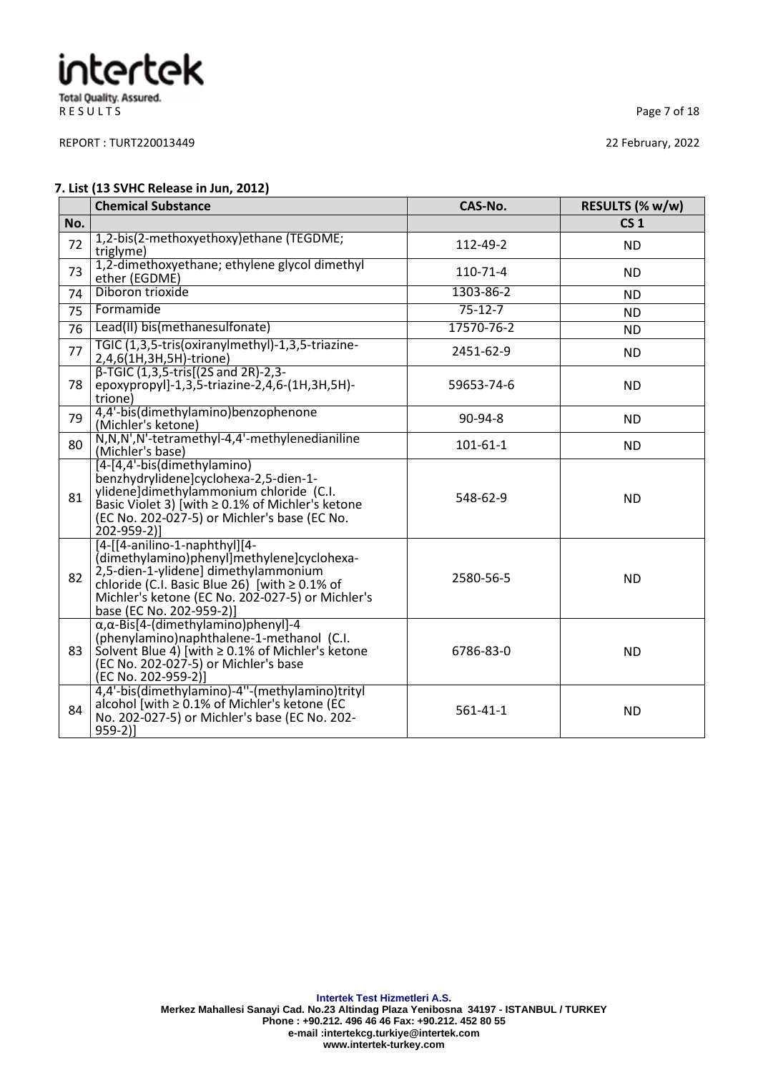R E S U L T S
Page 7 of 18

REPORT : TURT220013449 22 February, 2022

#### **7. List (13 SVHC Release in Jun, 2012)**

|     | <b>Chemical Substance</b>                                                                                                                                                                                                                                 | CAS-No.        | RESULTS (% w/w) |
|-----|-----------------------------------------------------------------------------------------------------------------------------------------------------------------------------------------------------------------------------------------------------------|----------------|-----------------|
| No. |                                                                                                                                                                                                                                                           |                | CS <sub>1</sub> |
| 72  | 1,2-bis(2-methoxyethoxy)ethane (TEGDME;<br>triglyme)                                                                                                                                                                                                      | 112-49-2       | <b>ND</b>       |
| 73  | 1,2-dimethoxyethane; ethylene glycol dimethyl<br>ether (EGDME)                                                                                                                                                                                            | 110-71-4       | <b>ND</b>       |
| 74  | Diboron trioxide                                                                                                                                                                                                                                          | 1303-86-2      | <b>ND</b>       |
| 75  | Formamide                                                                                                                                                                                                                                                 | $75 - 12 - 7$  | <b>ND</b>       |
| 76  | Lead(II) bis(methanesulfonate)                                                                                                                                                                                                                            | 17570-76-2     | <b>ND</b>       |
| 77  | TGIC (1,3,5-tris(oxiranylmethyl)-1,3,5-triazine-<br>2,4,6(1H,3H,5H)-trione)                                                                                                                                                                               | 2451-62-9      | <b>ND</b>       |
| 78  | $\beta$ -TGIC (1,3,5-tris[(2S and 2R)-2,3-<br>epoxypropyl]-1,3,5-triazine-2,4,6-(1H,3H,5H)-<br>trione)                                                                                                                                                    | 59653-74-6     | <b>ND</b>       |
| 79  | 4,4'-bis(dimethylamino)benzophenone<br>(Michler's ketone)                                                                                                                                                                                                 | 90-94-8        | ND.             |
| 80  | N,N,N',N'-tetramethyl-4,4'-methylenedianiline<br>(Michler's base)                                                                                                                                                                                         | $101 - 61 - 1$ | <b>ND</b>       |
| 81  | [4-[4,4'-bis(dimethylamino)<br>benzhydrylidene]cyclohexa-2,5-dien-1-<br>ylidene]dimethylammonium chloride (C.I.<br>Basic Violet 3) [with $\geq$ 0.1% of Michler's ketone<br>(EC No. 202-027-5) or Michler's base (EC No.<br>202-959-2)]                   | 548-62-9       | <b>ND</b>       |
| 82  | [4-[[4-anilino-1-naphthyl][4-<br>(dimethylamino)phenyl]methylene]cyclohexa-<br>2,5-dien-1-ylidene] dimethylammonium<br>chloride (C.I. Basic Blue 26) [with $\geq$ 0.1% of<br>Michler's ketone (EC No. 202-027-5) or Michler's<br>base (EC No. 202-959-2)] | 2580-56-5      | <b>ND</b>       |
| 83  | $\alpha, \alpha$ -Bis[4-(dimethylamino)phenyl]-4<br>(phenylamino)naphthalene-1-methanol (C.I.<br>Solvent Blue 4) [with $\geq$ 0.1% of Michler's ketone<br>(EC No. 202-027-5) or Michler's base<br>(EC No. 202-959-2)]                                     | 6786-83-0      | <b>ND</b>       |
| 84  | 4,4'-bis(dimethylamino)-4"-(methylamino)trityl<br>alcohol [with ≥ 0.1% of Michler's ketone (EC<br>No. 202-027-5) or Michler's base (EC No. 202-<br>$959-2]$                                                                                               | $561 - 41 - 1$ | <b>ND</b>       |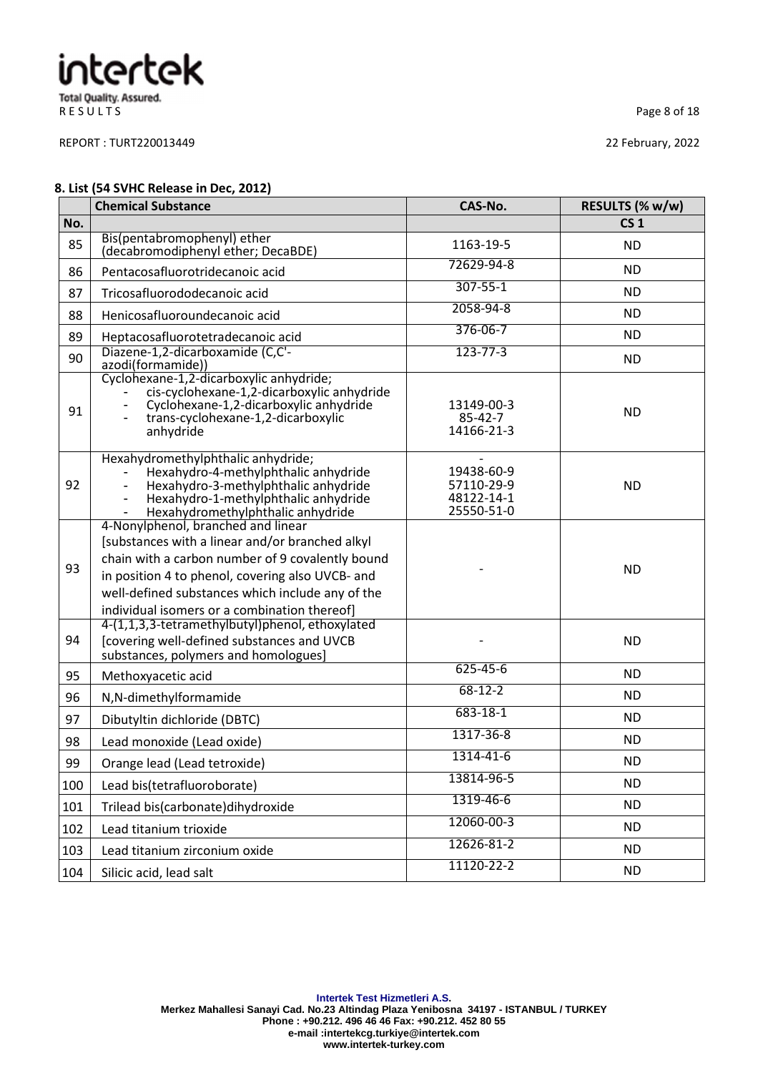R E S U L T S
Page 8 of 18

REPORT : TURT220013449 22 February, 2022

#### **8. List (54 SVHC Release in Dec, 2012)**

|     | <b>Chemical Substance</b>                                                                                                                                                                                                                                                                         | CAS-No.                                              | RESULTS (% w/w) |
|-----|---------------------------------------------------------------------------------------------------------------------------------------------------------------------------------------------------------------------------------------------------------------------------------------------------|------------------------------------------------------|-----------------|
| No. |                                                                                                                                                                                                                                                                                                   |                                                      | CS <sub>1</sub> |
| 85  | Bis(pentabromophenyl) ether<br>(decabromodiphenyl ether; DecaBDE)                                                                                                                                                                                                                                 | 1163-19-5                                            | <b>ND</b>       |
| 86  | Pentacosafluorotridecanoic acid                                                                                                                                                                                                                                                                   | 72629-94-8                                           | <b>ND</b>       |
| 87  | Tricosafluorododecanoic acid                                                                                                                                                                                                                                                                      | $307 - 55 - 1$                                       | <b>ND</b>       |
| 88  | Henicosafluoroundecanoic acid                                                                                                                                                                                                                                                                     | 2058-94-8                                            | <b>ND</b>       |
| 89  | Heptacosafluorotetradecanoic acid                                                                                                                                                                                                                                                                 | 376-06-7                                             | ND.             |
| 90  | Diazene-1,2-dicarboxamide (C,C'-<br>azodi(formamide))                                                                                                                                                                                                                                             | $123 - 77 - 3$                                       | <b>ND</b>       |
| 91  | Cyclohexane-1,2-dicarboxylic anhydride;<br>cis-cyclohexane-1,2-dicarboxylic anhydride<br>Cyclohexane-1,2-dicarboxylic anhydride<br>trans-cyclohexane-1,2-dicarboxylic<br>anhydride                                                                                                                | 13149-00-3<br>85-42-7<br>14166-21-3                  | <b>ND</b>       |
| 92  | Hexahydromethylphthalic anhydride;<br>Hexahydro-4-methylphthalic anhydride<br>Hexahydro-3-methylphthalic anhydride<br>Hexahydro-1-methylphthalic anhydride<br>Hexahydromethylphthalic anhydride<br>$\overline{\phantom{0}}$                                                                       | 19438-60-9<br>57110-29-9<br>48122-14-1<br>25550-51-0 | <b>ND</b>       |
| 93  | 4-Nonylphenol, branched and linear<br>[substances with a linear and/or branched alkyl<br>chain with a carbon number of 9 covalently bound<br>in position 4 to phenol, covering also UVCB- and<br>well-defined substances which include any of the<br>individual isomers or a combination thereof] |                                                      | <b>ND</b>       |
| 94  | 4-(1,1,3,3-tetramethylbutyl)phenol, ethoxylated<br>[covering well-defined substances and UVCB<br>substances, polymers and homologues]                                                                                                                                                             |                                                      | <b>ND</b>       |
| 95  | Methoxyacetic acid                                                                                                                                                                                                                                                                                | $625 - 45 - 6$                                       | <b>ND</b>       |
| 96  | N,N-dimethylformamide                                                                                                                                                                                                                                                                             | $68 - 12 - 2$                                        | <b>ND</b>       |
| 97  | Dibutyltin dichloride (DBTC)                                                                                                                                                                                                                                                                      | $683 - 18 - 1$                                       | <b>ND</b>       |
| 98  | Lead monoxide (Lead oxide)                                                                                                                                                                                                                                                                        | 1317-36-8                                            | <b>ND</b>       |
| 99  | Orange lead (Lead tetroxide)                                                                                                                                                                                                                                                                      | 1314-41-6                                            | <b>ND</b>       |
| 100 | Lead bis(tetrafluoroborate)                                                                                                                                                                                                                                                                       | 13814-96-5                                           | <b>ND</b>       |
| 101 | Trilead bis(carbonate) dihy droxide                                                                                                                                                                                                                                                               | 1319-46-6                                            | <b>ND</b>       |
| 102 | Lead titanium trioxide                                                                                                                                                                                                                                                                            | 12060-00-3                                           | <b>ND</b>       |
| 103 | Lead titanium zirconium oxide                                                                                                                                                                                                                                                                     | 12626-81-2                                           | <b>ND</b>       |
| 104 | Silicic acid, lead salt                                                                                                                                                                                                                                                                           | 11120-22-2                                           | <b>ND</b>       |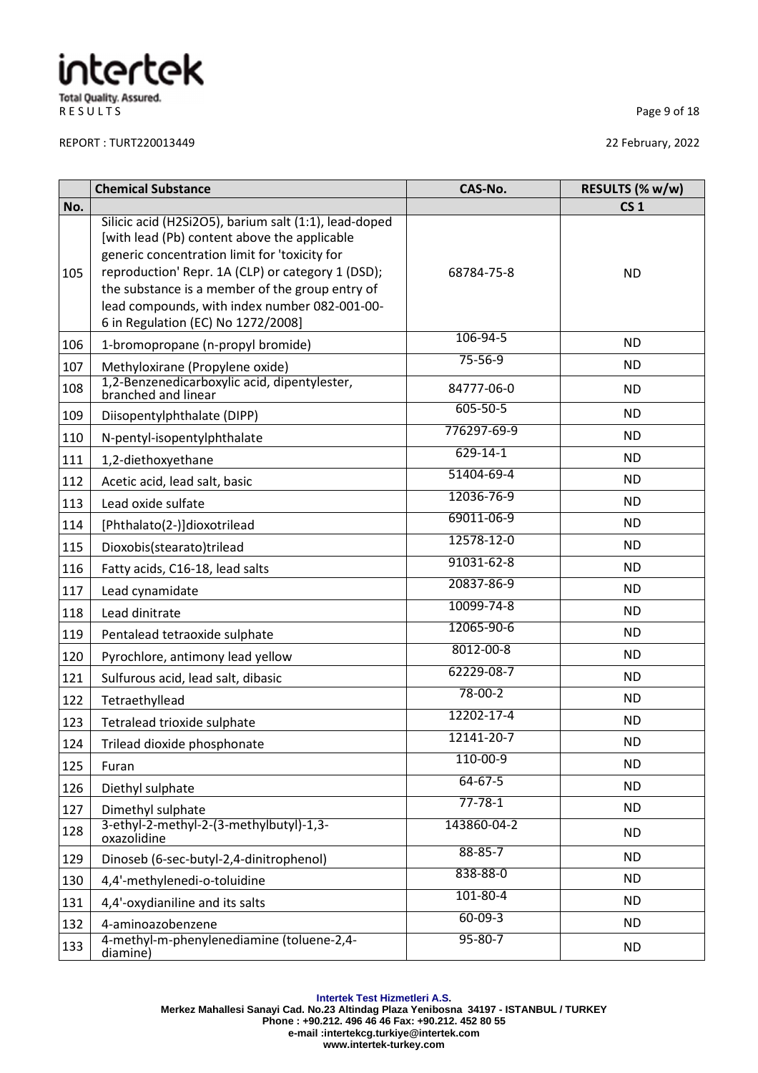R E S U L T S
Page 9 of 18

REPORT : TURT220013449 22 February, 2022

|     | <b>Chemical Substance</b>                                                                                                                                                                                                                                                                                                                             | CAS-No.        | RESULTS (% w/w) |
|-----|-------------------------------------------------------------------------------------------------------------------------------------------------------------------------------------------------------------------------------------------------------------------------------------------------------------------------------------------------------|----------------|-----------------|
| No. |                                                                                                                                                                                                                                                                                                                                                       |                | CS <sub>1</sub> |
| 105 | Silicic acid (H2Si2O5), barium salt (1:1), lead-doped<br>[with lead (Pb) content above the applicable<br>generic concentration limit for 'toxicity for<br>reproduction' Repr. 1A (CLP) or category 1 (DSD);<br>the substance is a member of the group entry of<br>lead compounds, with index number 082-001-00-<br>6 in Regulation (EC) No 1272/2008] | 68784-75-8     | <b>ND</b>       |
| 106 | 1-bromopropane (n-propyl bromide)                                                                                                                                                                                                                                                                                                                     | 106-94-5       | <b>ND</b>       |
| 107 | Methyloxirane (Propylene oxide)                                                                                                                                                                                                                                                                                                                       | $75 - 56 - 9$  | <b>ND</b>       |
| 108 | 1,2-Benzenedicarboxylic acid, dipentylester,<br>branched and linear                                                                                                                                                                                                                                                                                   | 84777-06-0     | <b>ND</b>       |
| 109 | Diisopentylphthalate (DIPP)                                                                                                                                                                                                                                                                                                                           | $605 - 50 - 5$ | <b>ND</b>       |
| 110 | N-pentyl-isopentylphthalate                                                                                                                                                                                                                                                                                                                           | 776297-69-9    | <b>ND</b>       |
| 111 | 1,2-diethoxyethane                                                                                                                                                                                                                                                                                                                                    | $629 - 14 - 1$ | <b>ND</b>       |
| 112 | Acetic acid, lead salt, basic                                                                                                                                                                                                                                                                                                                         | 51404-69-4     | <b>ND</b>       |
| 113 | Lead oxide sulfate                                                                                                                                                                                                                                                                                                                                    | 12036-76-9     | <b>ND</b>       |
| 114 | [Phthalato(2-)]dioxotrilead                                                                                                                                                                                                                                                                                                                           | 69011-06-9     | <b>ND</b>       |
| 115 | Dioxobis(stearato)trilead                                                                                                                                                                                                                                                                                                                             | 12578-12-0     | ND.             |
| 116 | Fatty acids, C16-18, lead salts                                                                                                                                                                                                                                                                                                                       | 91031-62-8     | <b>ND</b>       |
| 117 | Lead cynamidate                                                                                                                                                                                                                                                                                                                                       | 20837-86-9     | <b>ND</b>       |
| 118 | Lead dinitrate                                                                                                                                                                                                                                                                                                                                        | 10099-74-8     | <b>ND</b>       |
| 119 | Pentalead tetraoxide sulphate                                                                                                                                                                                                                                                                                                                         | 12065-90-6     | <b>ND</b>       |
| 120 | Pyrochlore, antimony lead yellow                                                                                                                                                                                                                                                                                                                      | 8012-00-8      | <b>ND</b>       |
| 121 | Sulfurous acid, lead salt, dibasic                                                                                                                                                                                                                                                                                                                    | 62229-08-7     | <b>ND</b>       |
| 122 | Tetraethyllead                                                                                                                                                                                                                                                                                                                                        | $78 - 00 - 2$  | ND.             |
| 123 | Tetralead trioxide sulphate                                                                                                                                                                                                                                                                                                                           | 12202-17-4     | <b>ND</b>       |
| 124 | Trilead dioxide phosphonate                                                                                                                                                                                                                                                                                                                           | 12141-20-7     | ND              |
| 125 | Furan                                                                                                                                                                                                                                                                                                                                                 | 110-00-9       | <b>ND</b>       |
| 126 | Diethyl sulphate                                                                                                                                                                                                                                                                                                                                      | 64-67-5        | <b>ND</b>       |
| 127 | Dimethyl sulphate                                                                                                                                                                                                                                                                                                                                     | $77 - 78 - 1$  | <b>ND</b>       |
| 128 | 3-ethyl-2-methyl-2-(3-methylbutyl)-1,3-<br>oxazolidine                                                                                                                                                                                                                                                                                                | 143860-04-2    | <b>ND</b>       |
| 129 | Dinoseb (6-sec-butyl-2,4-dinitrophenol)                                                                                                                                                                                                                                                                                                               | $88 - 85 - 7$  | <b>ND</b>       |
| 130 | 4,4'-methylenedi-o-toluidine                                                                                                                                                                                                                                                                                                                          | 838-88-0       | <b>ND</b>       |
| 131 | 4,4'-oxydianiline and its salts                                                                                                                                                                                                                                                                                                                       | $101 - 80 - 4$ | <b>ND</b>       |
| 132 | 4-aminoazobenzene                                                                                                                                                                                                                                                                                                                                     | $60 - 09 - 3$  | <b>ND</b>       |
| 133 | 4-methyl-m-phenylenediamine (toluene-2,4-<br>diamine)                                                                                                                                                                                                                                                                                                 | $95 - 80 - 7$  | <b>ND</b>       |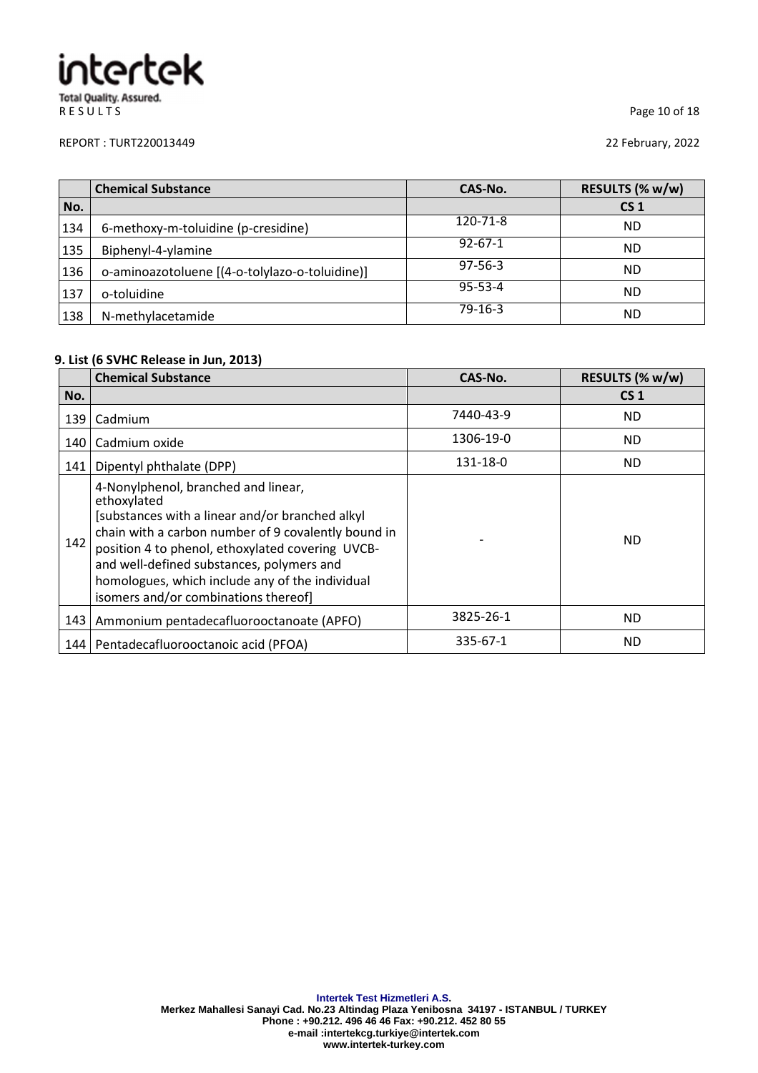#### REPORT : TURT220013449 22 February, 2022

R E S U L T S
Page 10 of 18

|     | <b>Chemical Substance</b>                      | CAS-No.       | RESULTS (% w/w) |
|-----|------------------------------------------------|---------------|-----------------|
| No. |                                                |               | CS <sub>1</sub> |
| 134 | 6-methoxy-m-toluidine (p-cresidine)            | 120-71-8      | <b>ND</b>       |
| 135 | Biphenyl-4-ylamine                             | $92 - 67 - 1$ | <b>ND</b>       |
| 136 | o-aminoazotoluene [(4-o-tolylazo-o-toluidine)] | $97 - 56 - 3$ | <b>ND</b>       |
| 137 | o-toluidine                                    | $95 - 53 - 4$ | <b>ND</b>       |
| 138 | N-methylacetamide                              | $79-16-3$     | <b>ND</b>       |

### **9. List (6 SVHC Release in Jun, 2013)**

|     | <b>Chemical Substance</b>                                                                                                                                                                                                                                                                                                                                | CAS-No.        | RESULTS (% w/w) |
|-----|----------------------------------------------------------------------------------------------------------------------------------------------------------------------------------------------------------------------------------------------------------------------------------------------------------------------------------------------------------|----------------|-----------------|
| No. |                                                                                                                                                                                                                                                                                                                                                          |                | CS <sub>1</sub> |
| 139 | Cadmium                                                                                                                                                                                                                                                                                                                                                  | 7440-43-9      | <b>ND</b>       |
| 140 | Cadmium oxide                                                                                                                                                                                                                                                                                                                                            | 1306-19-0      | <b>ND</b>       |
| 141 | Dipentyl phthalate (DPP)                                                                                                                                                                                                                                                                                                                                 | 131-18-0       | ND.             |
| 142 | 4-Nonylphenol, branched and linear,<br>ethoxylated<br>[substances with a linear and/or branched alkyl<br>chain with a carbon number of 9 covalently bound in<br>position 4 to phenol, ethoxylated covering UVCB-<br>and well-defined substances, polymers and<br>homologues, which include any of the individual<br>isomers and/or combinations thereof] |                | <b>ND</b>       |
|     | 143   Ammonium pentadecafluorooctanoate (APFO)                                                                                                                                                                                                                                                                                                           | 3825-26-1      | <b>ND</b>       |
|     | 144   Pentadecafluorooctanoic acid (PFOA)                                                                                                                                                                                                                                                                                                                | $335 - 67 - 1$ | <b>ND</b>       |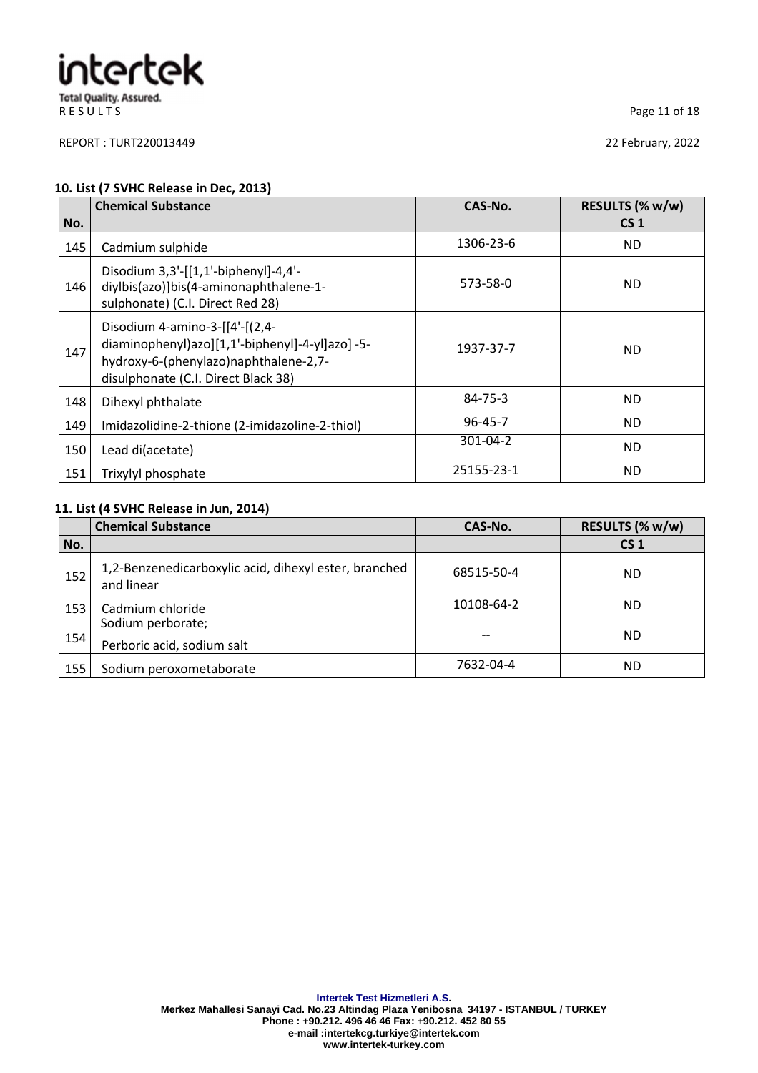REPORT : TURT220013449 22 February, 2022

R E S U L T S Page 11 of 18

#### **10. List (7 SVHC Release in Dec, 2013)**

|     | <b>Chemical Substance</b>                                                                                                                                        | CAS-No.       | RESULTS (% w/w) |
|-----|------------------------------------------------------------------------------------------------------------------------------------------------------------------|---------------|-----------------|
| No. |                                                                                                                                                                  |               | CS <sub>1</sub> |
| 145 | Cadmium sulphide                                                                                                                                                 | 1306-23-6     | <b>ND</b>       |
| 146 | Disodium 3,3'-[[1,1'-biphenyl]-4,4'-<br>diylbis(azo)]bis(4-aminonaphthalene-1-<br>sulphonate) (C.I. Direct Red 28)                                               | 573-58-0      | <b>ND</b>       |
| 147 | Disodium 4-amino-3-[[4'-[(2,4-<br>diaminophenyl)azo][1,1'-biphenyl]-4-yl]azo]-5-<br>hydroxy-6-(phenylazo)naphthalene-2,7-<br>disulphonate (C.I. Direct Black 38) | 1937-37-7     | ND.             |
| 148 | Dihexyl phthalate                                                                                                                                                | $84 - 75 - 3$ | <b>ND</b>       |
| 149 | Imidazolidine-2-thione (2-imidazoline-2-thiol)                                                                                                                   | $96 - 45 - 7$ | ND.             |
| 150 | Lead di(acetate)                                                                                                                                                 | 301-04-2      | <b>ND</b>       |
| 151 | Trixylyl phosphate                                                                                                                                               | 25155-23-1    | ND.             |

#### **11. List (4 SVHC Release in Jun, 2014)**

|     | <b>Chemical Substance</b>                                           | CAS-No.    | RESULTS (% w/w) |
|-----|---------------------------------------------------------------------|------------|-----------------|
| No. |                                                                     |            | CS <sub>1</sub> |
| 152 | 1,2-Benzenedicarboxylic acid, dihexyl ester, branched<br>and linear | 68515-50-4 | <b>ND</b>       |
| 153 | Cadmium chloride                                                    | 10108-64-2 | <b>ND</b>       |
| 154 | Sodium perborate;<br>Perboric acid, sodium salt                     | --         | ND              |
| 155 | Sodium peroxometaborate                                             | 7632-04-4  | <b>ND</b>       |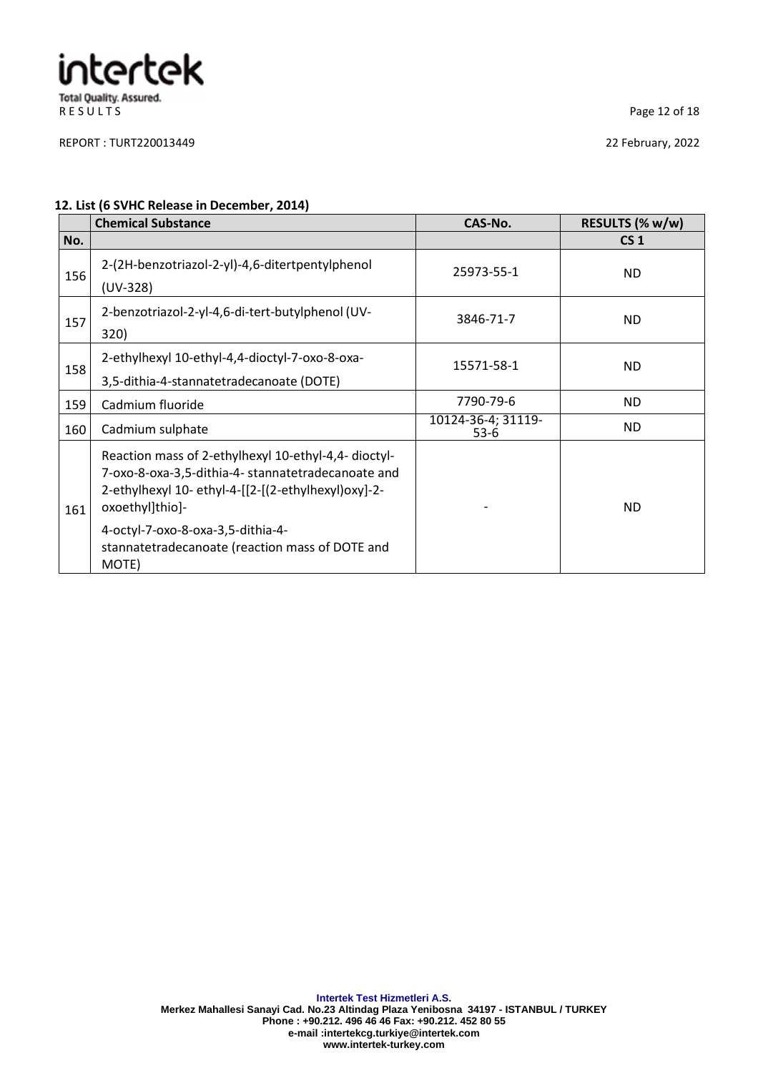### intertek **Total Quality. Assured.** R E S U L T S
Page 12 of 18

REPORT : TURT220013449 22 February, 2022

#### **12. List (6 SVHC Release in December, 2014)**

|     | <b>Chemical Substance</b>                                                                                                                                                                                                                                                             | CAS-No.                      | RESULTS (% w/w) |
|-----|---------------------------------------------------------------------------------------------------------------------------------------------------------------------------------------------------------------------------------------------------------------------------------------|------------------------------|-----------------|
| No. |                                                                                                                                                                                                                                                                                       |                              | CS <sub>1</sub> |
| 156 | 2-(2H-benzotriazol-2-yl)-4,6-ditertpentylphenol<br>(UV-328)                                                                                                                                                                                                                           | 25973-55-1                   | ND.             |
| 157 | 2-benzotriazol-2-yl-4,6-di-tert-butylphenol (UV-<br>320)                                                                                                                                                                                                                              | 3846-71-7                    | ND.             |
| 158 | 2-ethylhexyl 10-ethyl-4,4-dioctyl-7-oxo-8-oxa-<br>3,5-dithia-4-stannatetradecanoate (DOTE)                                                                                                                                                                                            | 15571-58-1                   | <b>ND</b>       |
| 159 | Cadmium fluoride                                                                                                                                                                                                                                                                      | 7790-79-6                    | ND.             |
| 160 | Cadmium sulphate                                                                                                                                                                                                                                                                      | 10124-36-4; 31119-<br>$53-6$ | ND.             |
| 161 | Reaction mass of 2-ethylhexyl 10-ethyl-4,4- dioctyl-<br>7-oxo-8-oxa-3,5-dithia-4- stannatetradecanoate and<br>2-ethylhexyl 10- ethyl-4-[[2-[(2-ethylhexyl)oxy]-2-<br>oxoethyl]thio]-<br>4-octyl-7-oxo-8-oxa-3,5-dithia-4-<br>stannatetradecanoate (reaction mass of DOTE and<br>MOTE) |                              | ND.             |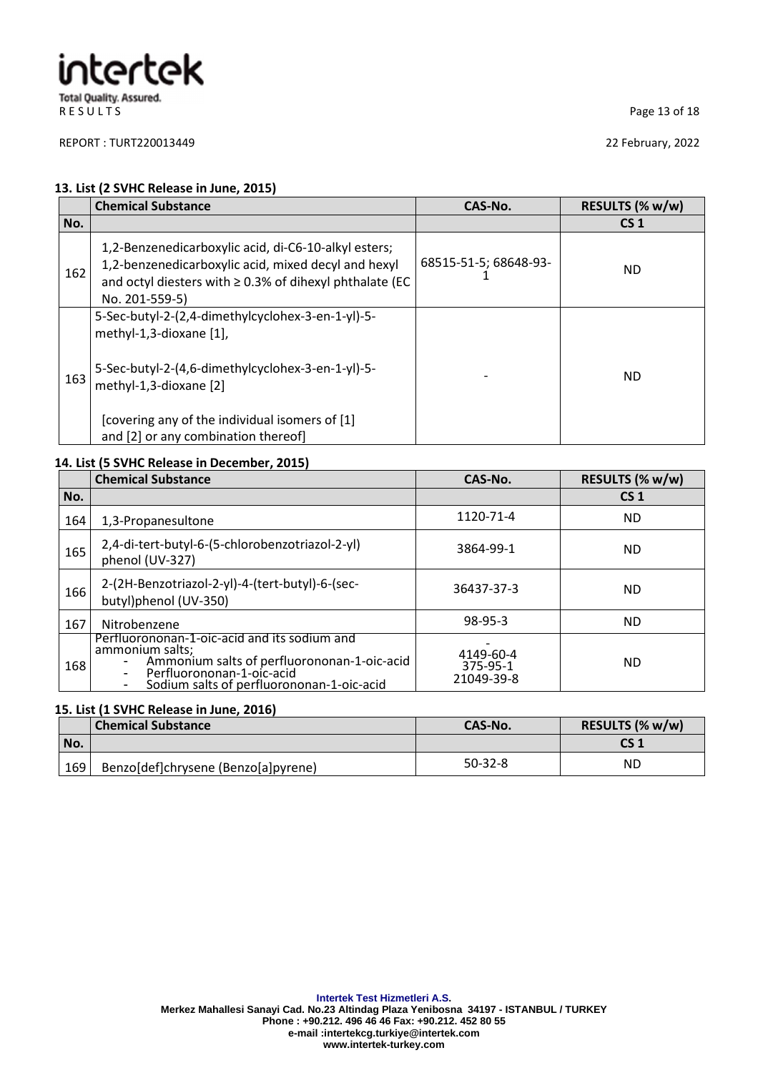REPORT : TURT220013449 22 February, 2022

R E S U L T S
Page 13 of 18

#### **13. List (2 SVHC Release in June, 2015)**

|     | <b>Chemical Substance</b>                                                                                                                                                                     | CAS-No.               | RESULTS (% w/w) |
|-----|-----------------------------------------------------------------------------------------------------------------------------------------------------------------------------------------------|-----------------------|-----------------|
| No. |                                                                                                                                                                                               |                       | CS <sub>1</sub> |
| 162 | 1,2-Benzenedicarboxylic acid, di-C6-10-alkyl esters;<br>1,2-benzenedicarboxylic acid, mixed decyl and hexyl<br>and octyl diesters with $\geq$ 0.3% of dihexyl phthalate (EC<br>No. 201-559-5) | 68515-51-5; 68648-93- | ND              |
|     | 5-Sec-butyl-2-(2,4-dimethylcyclohex-3-en-1-yl)-5-<br>methyl-1,3-dioxane [1],                                                                                                                  |                       |                 |
| 163 | 5-Sec-butyl-2-(4,6-dimethylcyclohex-3-en-1-yl)-5-<br>methyl-1,3-dioxane [2]                                                                                                                   |                       | ND.             |
|     | [covering any of the individual isomers of [1]<br>and [2] or any combination thereof]                                                                                                         |                       |                 |

#### **14. List (5 SVHC Release in December, 2015)**

|     | <b>Chemical Substance</b>                                                                                                                                                                | CAS-No.                             | RESULTS (% w/w) |
|-----|------------------------------------------------------------------------------------------------------------------------------------------------------------------------------------------|-------------------------------------|-----------------|
| No. |                                                                                                                                                                                          |                                     | CS <sub>1</sub> |
| 164 | 1,3-Propanesultone                                                                                                                                                                       | 1120-71-4                           | <b>ND</b>       |
| 165 | 2,4-di-tert-butyl-6-(5-chlorobenzotriazol-2-yl)<br>phenol (UV-327)                                                                                                                       | 3864-99-1                           | <b>ND</b>       |
| 166 | 2-(2H-Benzotriazol-2-yl)-4-(tert-butyl)-6-(sec-<br>butyl)phenol (UV-350)                                                                                                                 | 36437-37-3                          | <b>ND</b>       |
| 167 | Nitrobenzene                                                                                                                                                                             | $98-95-3$                           | <b>ND</b>       |
| 168 | Perfluorononan-1-oic-acid and its sodium and<br>ammonium salts;<br>Ammonium salts of perfluorononan-1-oic-acid<br>Perfluorononan-1-oic-acid<br>Sodium salts of perfluorononan-1-oic-acid | 4149-60-4<br>375-95-1<br>21049-39-8 | <b>ND</b>       |

#### **15. List (1 SVHC Release in June, 2016)**

|       | <b>Chemical Substance</b>           | CAS-No.   | RESULTS (% w/w) |
|-------|-------------------------------------|-----------|-----------------|
| l No. |                                     |           | CS 1            |
| 169   | Benzo[def]chrysene (Benzo[a]pyrene) | $50-32-8$ | ΝD              |

**Intertek Test Hizmetleri A.S.**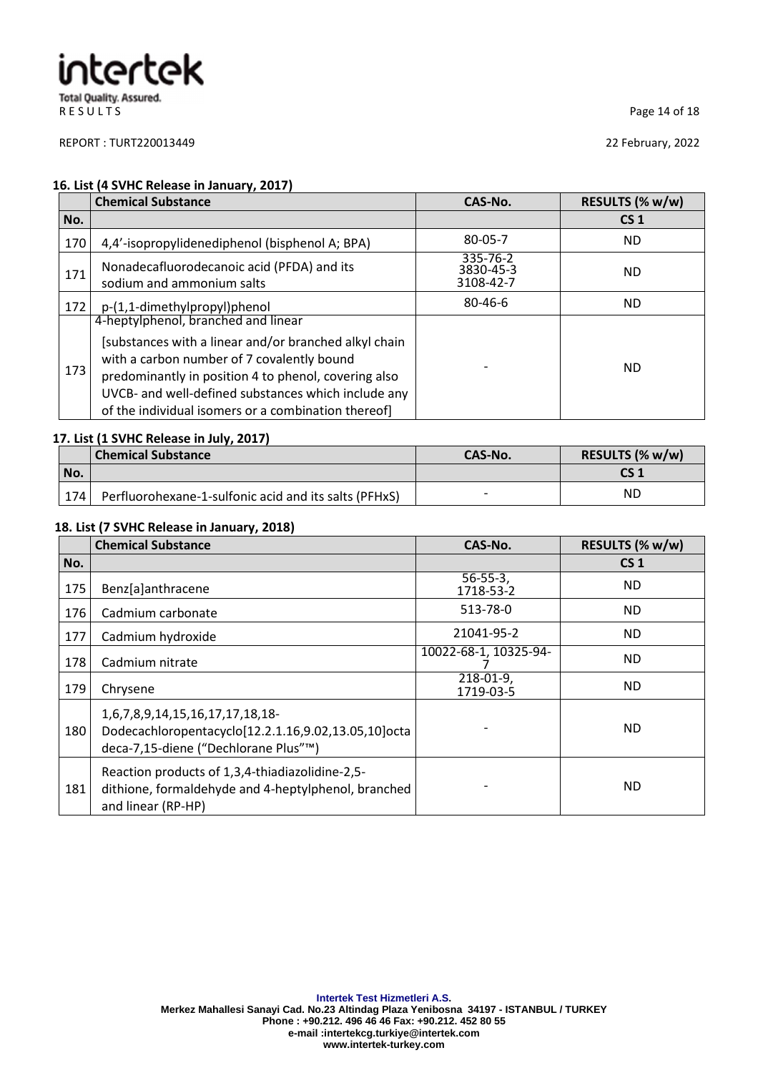REPORT : TURT220013449 22 February, 2022

R E S U L T S
Page 14 of 18

#### **16. List (4 SVHC Release in January, 2017)**

|     | <b>Chemical Substance</b>                                                                                                                                                                                                                                                                                        | CAS-No.                            | RESULTS (% w/w) |
|-----|------------------------------------------------------------------------------------------------------------------------------------------------------------------------------------------------------------------------------------------------------------------------------------------------------------------|------------------------------------|-----------------|
| No. |                                                                                                                                                                                                                                                                                                                  |                                    | CS <sub>1</sub> |
| 170 | 4,4'-isopropylidenediphenol (bisphenol A; BPA)                                                                                                                                                                                                                                                                   | 80-05-7                            | ND.             |
| 171 | Nonadecafluorodecanoic acid (PFDA) and its<br>sodium and ammonium salts                                                                                                                                                                                                                                          | 335-76-2<br>3830-45-3<br>3108-42-7 | ND.             |
| 172 | p-(1,1-dimethylpropyl)phenol                                                                                                                                                                                                                                                                                     | $80 - 46 - 6$                      | ND.             |
| 173 | 4-heptylphenol, branched and linear<br>[substances with a linear and/or branched alkyl chain<br>with a carbon number of 7 covalently bound<br>predominantly in position 4 to phenol, covering also<br>UVCB- and well-defined substances which include any<br>of the individual isomers or a combination thereof] |                                    | <b>ND</b>       |

#### **17. List (1 SVHC Release in July, 2017)**

|     | <b>Chemical Substance</b>                             | CAS-No. | RESULTS (% w/w) |
|-----|-------------------------------------------------------|---------|-----------------|
| No. |                                                       |         | CS 1            |
| 174 | Perfluorohexane-1-sulfonic acid and its salts (PFHxS) |         | ΝC              |

#### **18. List (7 SVHC Release in January, 2018)**

|     | <b>Chemical Substance</b>                                                                                                      | CAS-No.                     | RESULTS (% w/w) |
|-----|--------------------------------------------------------------------------------------------------------------------------------|-----------------------------|-----------------|
| No. |                                                                                                                                |                             | CS <sub>1</sub> |
| 175 | Benz[a]anthracene                                                                                                              | $56 - 55 - 3,$<br>1718-53-2 | ND.             |
| 176 | Cadmium carbonate                                                                                                              | 513-78-0                    | ND.             |
| 177 | Cadmium hydroxide                                                                                                              | 21041-95-2                  | ND.             |
| 178 | Cadmium nitrate                                                                                                                | 10022-68-1, 10325-94-       | <b>ND</b>       |
| 179 | Chrysene                                                                                                                       | 218-01-9,<br>1719-03-5      | ND.             |
| 180 | 1,6,7,8,9,14,15,16,17,17,18,18-<br>Dodecachloropentacyclo[12.2.1.16,9.02,13.05,10]octa<br>deca-7,15-diene ("Dechlorane Plus"™) |                             | ND.             |
| 181 | Reaction products of 1,3,4-thiadiazolidine-2,5-<br>dithione, formaldehyde and 4-heptylphenol, branched<br>and linear (RP-HP)   |                             | <b>ND</b>       |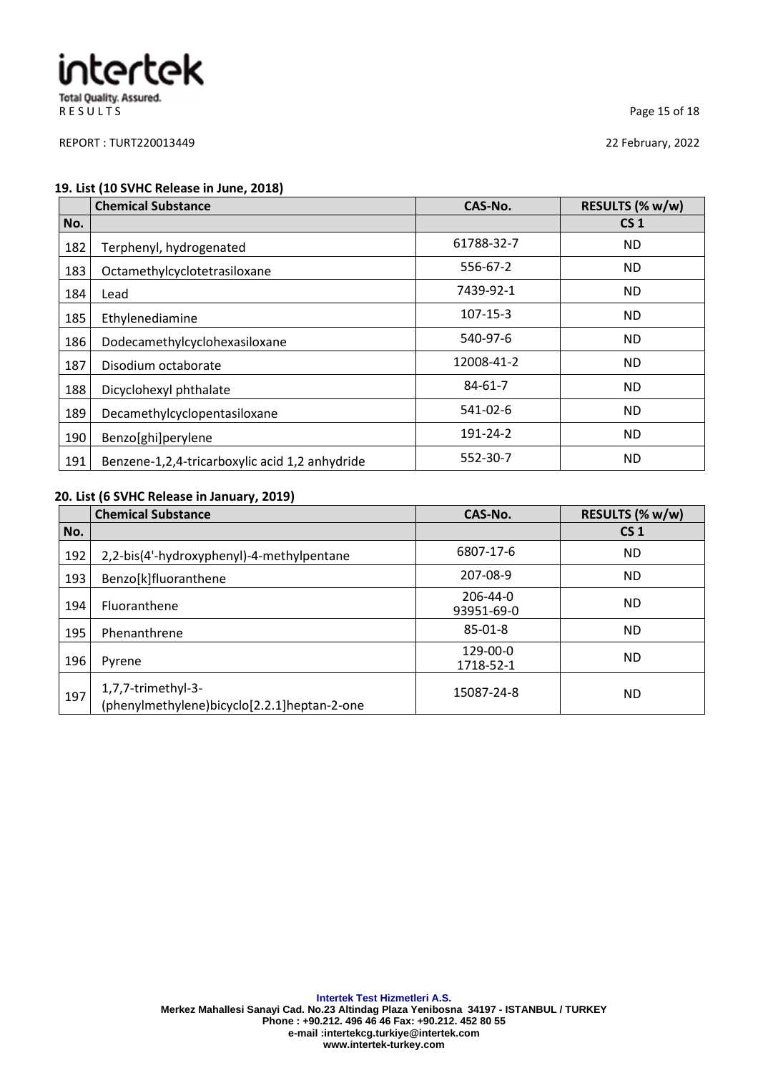REPORT : TURT220013449 22 February, 2022

R E S U L T S
Page 15 of 18

#### **19. List (10 SVHC Release in June, 2018)**

|     | <b>Chemical Substance</b>                      | CAS-No.        | RESULTS (% w/w) |
|-----|------------------------------------------------|----------------|-----------------|
| No. |                                                |                | CS <sub>1</sub> |
| 182 | Terphenyl, hydrogenated                        | 61788-32-7     | ND.             |
| 183 | Octamethylcyclotetrasiloxane                   | 556-67-2       | <b>ND</b>       |
| 184 | Lead                                           | 7439-92-1      | <b>ND</b>       |
| 185 | Ethylenediamine                                | $107 - 15 - 3$ | <b>ND</b>       |
| 186 | Dodecamethylcyclohexasiloxane                  | 540-97-6       | ND.             |
| 187 | Disodium octaborate                            | 12008-41-2     | <b>ND</b>       |
| 188 | Dicyclohexyl phthalate                         | $84 - 61 - 7$  | <b>ND</b>       |
| 189 | Decamethylcyclopentasiloxane                   | 541-02-6       | <b>ND</b>       |
| 190 | Benzo[ghi]perylene                             | 191-24-2       | <b>ND</b>       |
| 191 | Benzene-1,2,4-tricarboxylic acid 1,2 anhydride | 552-30-7       | <b>ND</b>       |

#### **20. List (6 SVHC Release in January, 2019)**

|     | <b>Chemical Substance</b>                                         | CAS-No.                | RESULTS (% w/w) |
|-----|-------------------------------------------------------------------|------------------------|-----------------|
| No. |                                                                   |                        | CS <sub>1</sub> |
| 192 | 2,2-bis(4'-hydroxyphenyl)-4-methylpentane                         | 6807-17-6              | <b>ND</b>       |
| 193 | Benzo[k]fluoranthene                                              | 207-08-9               | <b>ND</b>       |
| 194 | Fluoranthene                                                      | 206-44-0<br>93951-69-0 | <b>ND</b>       |
| 195 | Phenanthrene                                                      | $85-01-8$              | <b>ND</b>       |
| 196 | Pyrene                                                            | 129-00-0<br>1718-52-1  | <b>ND</b>       |
| 197 | 1,7,7-trimethyl-3-<br>(phenylmethylene)bicyclo[2.2.1]heptan-2-one | 15087-24-8             | <b>ND</b>       |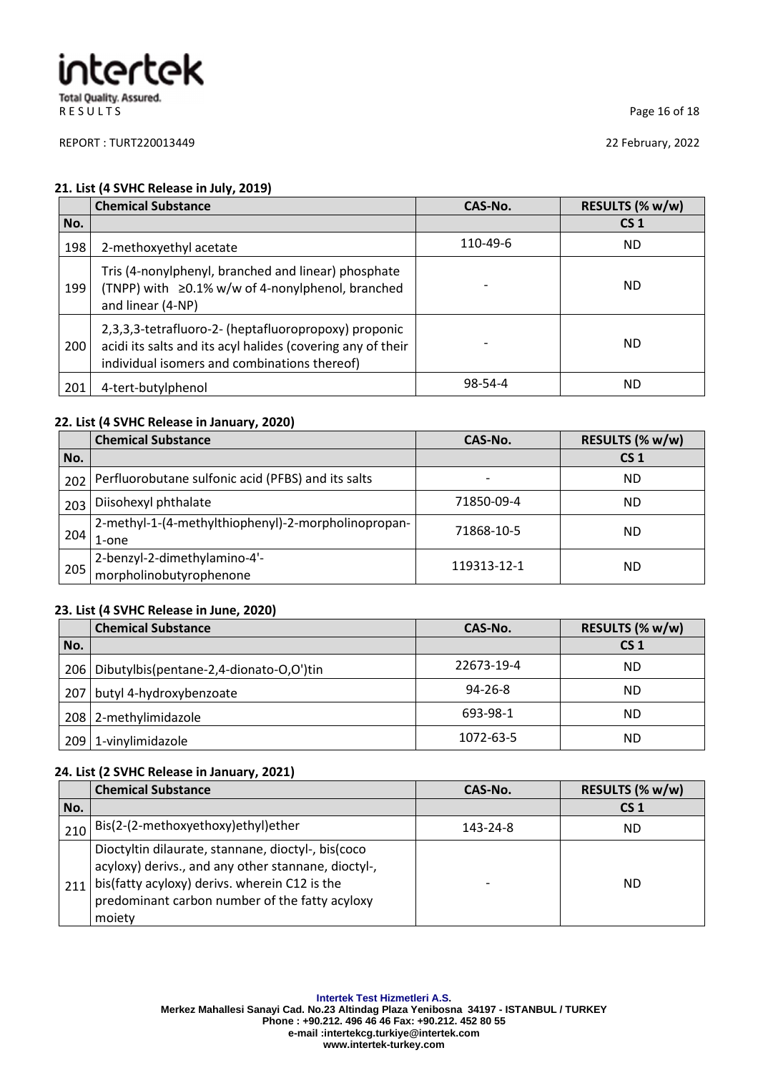REPORT : TURT220013449 22 February, 2022

R E S U L T S
Page 16 of 18

#### **21. List (4 SVHC Release in July, 2019)**

|     | <b>Chemical Substance</b>                                                                                                                                           | CAS-No.  | RESULTS (% w/w) |
|-----|---------------------------------------------------------------------------------------------------------------------------------------------------------------------|----------|-----------------|
| No. |                                                                                                                                                                     |          | CS <sub>1</sub> |
| 198 | 2-methoxyethyl acetate                                                                                                                                              | 110-49-6 | ND.             |
| 199 | Tris (4-nonylphenyl, branched and linear) phosphate<br>(TNPP) with ≥0.1% w/w of 4-nonylphenol, branched<br>and linear (4-NP)                                        |          | ND              |
| 200 | 2,3,3,3-tetrafluoro-2- (heptafluoropropoxy) proponic<br>acidi its salts and its acyl halides (covering any of their<br>individual isomers and combinations thereof) |          | ND              |
| 201 | 4-tert-butylphenol                                                                                                                                                  | 98-54-4  | <b>ND</b>       |

#### **22. List (4 SVHC Release in January, 2020)**

|     | <b>Chemical Substance</b>                                    | CAS-No.                  | RESULTS (% w/w) |
|-----|--------------------------------------------------------------|--------------------------|-----------------|
| No. |                                                              |                          | CS <sub>1</sub> |
| 202 | Perfluorobutane sulfonic acid (PFBS) and its salts           | $\overline{\phantom{0}}$ | ND              |
| 203 | Diisohexyl phthalate                                         | 71850-09-4               | ND              |
| 204 | 2-methyl-1-(4-methylthiophenyl)-2-morpholinopropan-<br>1-one | 71868-10-5               | ND              |
| 205 | 2-benzyl-2-dimethylamino-4'-<br>morpholinobutyrophenone      | 119313-12-1              | ND              |

### **23. List (4 SVHC Release in June, 2020)**

|     | <b>Chemical Substance</b>                       | CAS-No.       | RESULTS (% w/w) |
|-----|-------------------------------------------------|---------------|-----------------|
| No. |                                                 |               | CS <sub>1</sub> |
|     | 206   Dibutylbis (pentane-2,4-dionato-O,O') tin | 22673-19-4    | <b>ND</b>       |
| 207 | butyl 4-hydroxybenzoate                         | $94 - 26 - 8$ | <b>ND</b>       |
|     | 208 2-methylimidazole                           | 693-98-1      | <b>ND</b>       |
|     | 209 1-vinylimidazole                            | 1072-63-5     | <b>ND</b>       |

#### **24. List (2 SVHC Release in January, 2021)**

|     | <b>Chemical Substance</b>                                                                                                                                                                                              | CAS-No.  | RESULTS (% w/w) |
|-----|------------------------------------------------------------------------------------------------------------------------------------------------------------------------------------------------------------------------|----------|-----------------|
| No. |                                                                                                                                                                                                                        |          | CS <sub>1</sub> |
| 210 | Bis(2-(2-methoxyethoxy)ethyl)ether                                                                                                                                                                                     | 143-24-8 | ND              |
| 211 | Dioctyltin dilaurate, stannane, dioctyl-, bis(coco<br>acyloxy) derivs., and any other stannane, dioctyl-,<br>bis(fatty acyloxy) derivs. wherein C12 is the<br>predominant carbon number of the fatty acyloxy<br>moiety |          | ND              |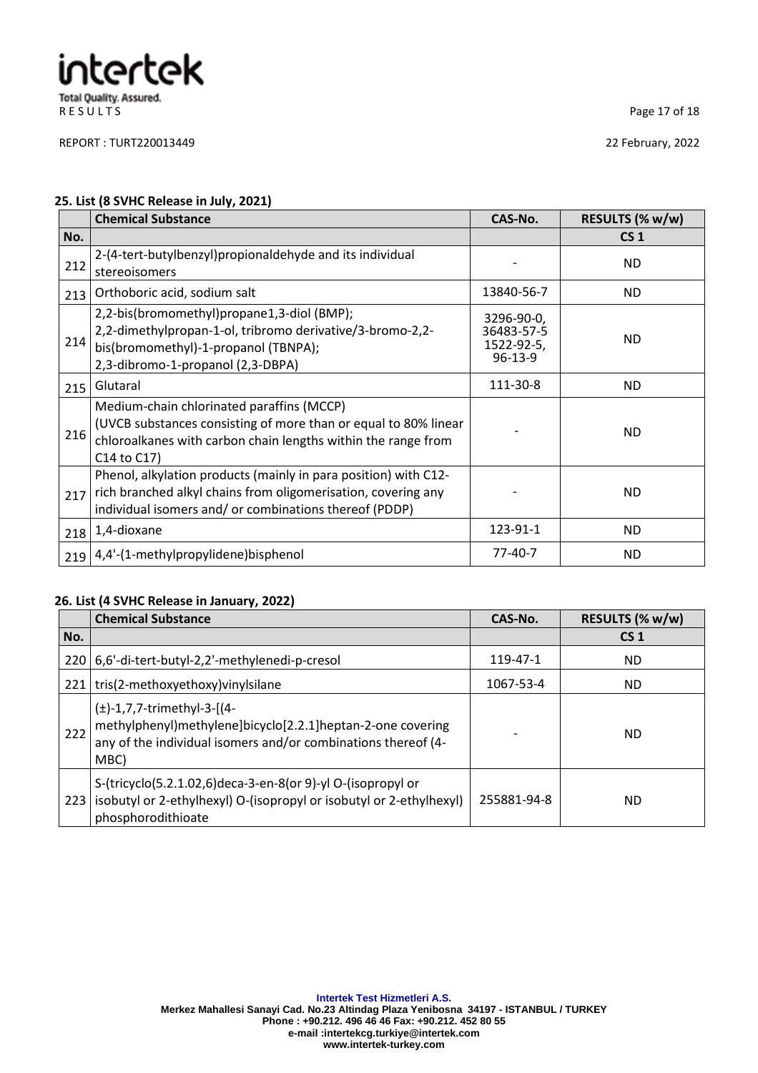REPORT : TURT220013449 22 February, 2022

R E S U L T S Page 17 of 18

### **25. List (8 SVHC Release in July, 2021)**

|     | <b>Chemical Substance</b>                                                                                                                                                                    | CAS-No.                                                 | RESULTS (% w/w) |
|-----|----------------------------------------------------------------------------------------------------------------------------------------------------------------------------------------------|---------------------------------------------------------|-----------------|
| No. |                                                                                                                                                                                              |                                                         | CS <sub>1</sub> |
| 212 | 2-(4-tert-butylbenzyl)propionaldehyde and its individual<br>stereoisomers                                                                                                                    |                                                         | ND.             |
| 213 | Orthoboric acid, sodium salt                                                                                                                                                                 | 13840-56-7                                              | ND.             |
| 214 | 2,2-bis(bromomethyl)propane1,3-diol (BMP);<br>2,2-dimethylpropan-1-ol, tribromo derivative/3-bromo-2,2-<br>bis(bromomethyl)-1-propanol (TBNPA);<br>2,3-dibromo-1-propanol (2,3-DBPA)         | 3296-90-0,<br>36483-57-5<br>1522-92-5,<br>$96 - 13 - 9$ | ND.             |
| 215 | Glutaral                                                                                                                                                                                     | 111-30-8                                                | ND.             |
| 216 | Medium-chain chlorinated paraffins (MCCP)<br>(UVCB substances consisting of more than or equal to 80% linear<br>chloroalkanes with carbon chain lengths within the range from<br>C14 to C17) |                                                         | <b>ND</b>       |
| 217 | Phenol, alkylation products (mainly in para position) with C12-<br>rich branched alkyl chains from oligomerisation, covering any<br>individual isomers and/ or combinations thereof (PDDP)   |                                                         | ND.             |
| 218 | 1,4-dioxane                                                                                                                                                                                  | 123-91-1                                                | ND.             |
| 219 | 4,4'-(1-methylpropylidene)bisphenol                                                                                                                                                          | 77-40-7                                                 | <b>ND</b>       |

### **26. List (4 SVHC Release in January, 2022)**

|       | <b>Chemical Substance</b>                                                                                                                                              | CAS-No.     | RESULTS (% w/w) |
|-------|------------------------------------------------------------------------------------------------------------------------------------------------------------------------|-------------|-----------------|
| No.   |                                                                                                                                                                        |             | CS <sub>1</sub> |
| 220 l | 6,6'-di-tert-butyl-2,2'-methylenedi-p-cresol                                                                                                                           | 119-47-1    | ND.             |
|       | 221   tris(2-methoxyethoxy) viny Isilane                                                                                                                               | 1067-53-4   | ND.             |
| 222   | $(\pm)$ -1,7,7-trimethyl-3-[(4-<br>methylphenyl)methylene]bicyclo[2.2.1]heptan-2-one covering<br>any of the individual isomers and/or combinations thereof (4-<br>MBC) |             | ND.             |
| 223   | S-(tricyclo(5.2.1.02,6)deca-3-en-8(or 9)-yl O-(isopropyl or<br>isobutyl or 2-ethylhexyl) O-(isopropyl or isobutyl or 2-ethylhexyl)<br>phosphorodithioate               | 255881-94-8 | ND.             |